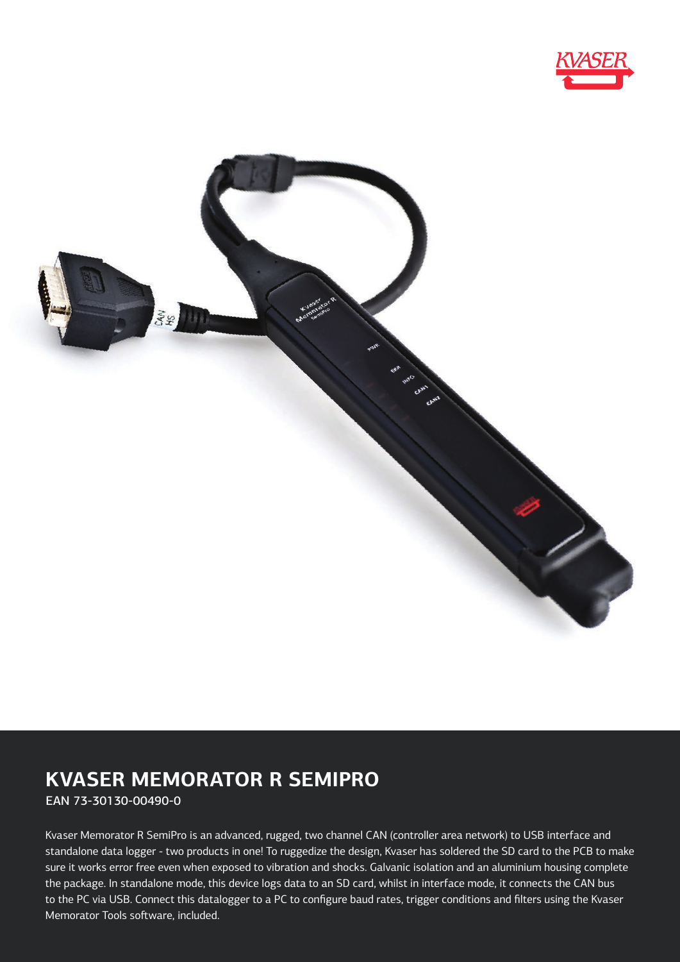



# **KVASER MEMORATOR R SEMIPRO**

EAN 73-30130-00490-0

Kvaser Memorator R SemiPro is an advanced, rugged, two channel CAN (controller area network) to USB interface and standalone data logger - two products in one! To ruggedize the design, Kvaser has soldered the SD card to the PCB to make sure it works error free even when exposed to vibration and shocks. Galvanic isolation and an aluminium housing complete the package. In standalone mode, this device logs data to an SD card, whilst in interface mode, it connects the CAN bus to the PC via USB. Connect this datalogger to a PC to configure baud rates, trigger conditions and filters using the Kvaser Memorator Tools software, included.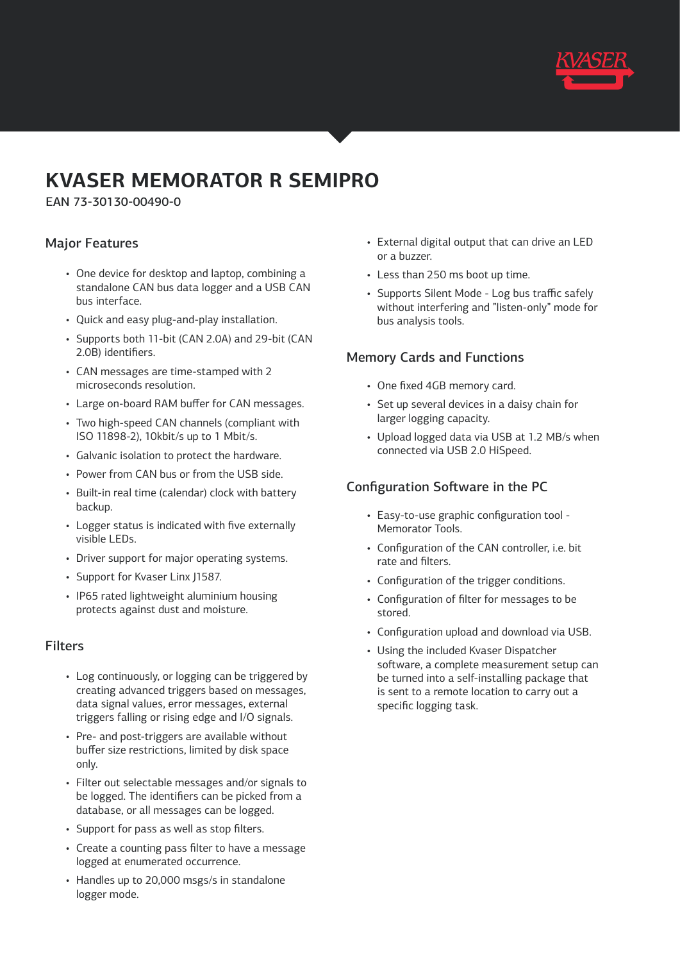

# **KVASER MEMORATOR R SEMIPRO**

EAN 73-30130-00490-0

#### Major Features

- One device for desktop and laptop, combining a standalone CAN bus data logger and a USB CAN bus interface.
- Quick and easy plug-and-play installation.
- Supports both 11-bit (CAN 2.0A) and 29-bit (CAN 2.0B) identifiers.
- CAN messages are time-stamped with 2 microseconds resolution.
- Large on-board RAM buffer for CAN messages.
- Two high-speed CAN channels (compliant with ISO 11898-2), 10kbit/s up to 1 Mbit/s.
- Galvanic isolation to protect the hardware.
- Power from CAN bus or from the USB side.
- Built-in real time (calendar) clock with battery backup.
- Logger status is indicated with five externally visible LEDs.
- Driver support for major operating systems.
- Support for Kvaser Linx J1587.
- IP65 rated lightweight aluminium housing protects against dust and moisture.

#### Filters

- Log continuously, or logging can be triggered by creating advanced triggers based on messages, data signal values, error messages, external triggers falling or rising edge and I/O signals.
- Pre- and post-triggers are available without buffer size restrictions, limited by disk space only.
- Filter out selectable messages and/or signals to be logged. The identifiers can be picked from a database, or all messages can be logged.
- Support for pass as well as stop filters.
- Create a counting pass filter to have a message logged at enumerated occurrence.
- Handles up to 20,000 msgs/s in standalone logger mode.
- External digital output that can drive an LED or a buzzer.
- Less than 250 ms boot up time.
- Supports Silent Mode Log bus traffic safely without interfering and "listen-only" mode for bus analysis tools.

#### Memory Cards and Functions

- One fixed 4GB memory card.
- Set up several devices in a daisy chain for larger logging capacity.
- Upload logged data via USB at 1.2 MB/s when connected via USB 2.0 HiSpeed.

### Configuration Software in the PC

- Easy-to-use graphic configuration tool Memorator Tools.
- Configuration of the CAN controller, i.e. bit rate and filters.
- Configuration of the trigger conditions.
- Configuration of filter for messages to be stored.
- Configuration upload and download via USB.
- Using the included Kvaser Dispatcher software, a complete measurement setup can be turned into a self-installing package that is sent to a remote location to carry out a specific logging task.